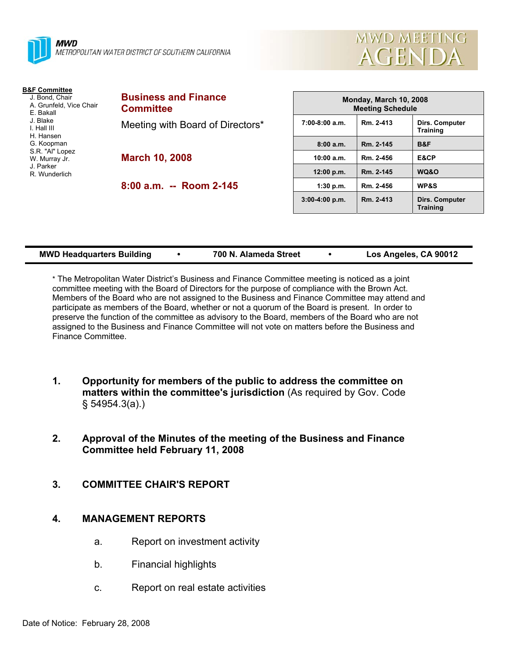



| <b>B&amp;F Committee</b> |  |
|--------------------------|--|
| J. Bond, Chair           |  |
| A. Grunfeld, Vice Chair  |  |
| F Bakall                 |  |
| J Blake                  |  |
| I. Hall III              |  |
| H. Hansen                |  |
| G. Koopman               |  |
| S.R. "Al" Lopez          |  |
| W. Murray Jr.            |  |
| J Parker                 |  |
| R. Wunderlich            |  |
|                          |  |
|                          |  |

**Business and Finance Committee**  eeting with Board of Directors\* **March 10, 2008** 

**8:00 a.m. -- Room 2-145** 

| Monday, March 10, 2008<br><b>Meeting Schedule</b> |           |                                   |  |  |
|---------------------------------------------------|-----------|-----------------------------------|--|--|
| $7:00-8:00$ a.m.                                  | Rm. 2-413 | Dirs. Computer<br><b>Training</b> |  |  |
| 8:00a.m.                                          | Rm. 2-145 | B&F                               |  |  |
| 10:00 a.m.                                        | Rm. 2-456 | E&CP                              |  |  |
| 12:00 p.m.                                        | Rm. 2-145 | WQ&O                              |  |  |
| 1:30 p.m.                                         | Rm. 2-456 | <b>WP&amp;S</b>                   |  |  |
| $3:00-4:00 p.m.$                                  | Rm. 2-413 | Dirs. Computer<br><b>Training</b> |  |  |

| <b>MWD Headquarters Building</b> |  | 700 N. Alameda Street |  | Los Angeles, CA 90012 |
|----------------------------------|--|-----------------------|--|-----------------------|
|----------------------------------|--|-----------------------|--|-----------------------|

\* The Metropolitan Water District's Business and Finance Committee meeting is noticed as a joint committee meeting with the Board of Directors for the purpose of compliance with the Brown Act. Members of the Board who are not assigned to the Business and Finance Committee may attend and participate as members of the Board, whether or not a quorum of the Board is present. In order to preserve the function of the committee as advisory to the Board, members of the Board who are not assigned to the Business and Finance Committee will not vote on matters before the Business and Finance Committee.

- **1. Opportunity for members of the public to address the committee on matters within the committee's jurisdiction** (As required by Gov. Code § 54954.3(a).)
- **2. Approval of the Minutes of the meeting of the Business and Finance Committee held February 11, 2008**
- **3. COMMITTEE CHAIR'S REPORT**

#### **4. MANAGEMENT REPORTS**

- a. Report on investment activity
- b. Financial highlights
- c. Report on real estate activities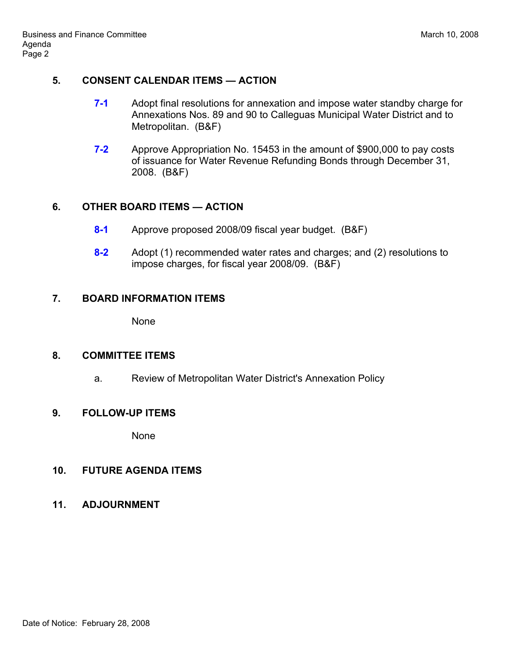#### **5. CONSENT CALENDAR ITEMS — ACTION**

- **7-1** Adopt final resolutions for annexation and impose water standby charge for Annexations Nos. 89 and 90 to Calleguas Municipal Water District and to Metropolitan. (B&F)
- **7-2** Approve Appropriation No. 15453 in the amount of \$900,000 to pay costs of issuance for Water Revenue Refunding Bonds through December 31, 2008. (B&F)

# **6. OTHER BOARD ITEMS — ACTION**

- **8-1** Approve proposed 2008/09 fiscal year budget. (B&F)
- **8-2** Adopt (1) recommended water rates and charges; and (2) resolutions to impose charges, for fiscal year 2008/09. (B&F)

# **7. BOARD INFORMATION ITEMS**

None

## **8. COMMITTEE ITEMS**

a. Review of Metropolitan Water District's Annexation Policy

## **9. FOLLOW-UP ITEMS**

None

## **10. FUTURE AGENDA ITEMS**

**11. ADJOURNMENT**